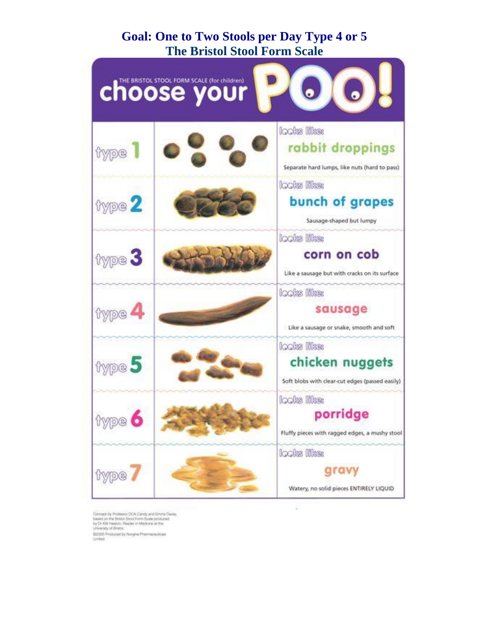### **Goal: One to Two Stools per Day Type 4 or 5 The Bristol Stool Form Scale**



÷

Concept by Professor CCA Candy and Enviro Davis<br>Sales on the Brazil Soco Form Scale produced<br>by Dr KW Heaton, Reader in Medicine at the<br>University of Brazil<br>In Lincolne Brazil Concept at the \$2005 Produced by Norgine Phermaceuticals